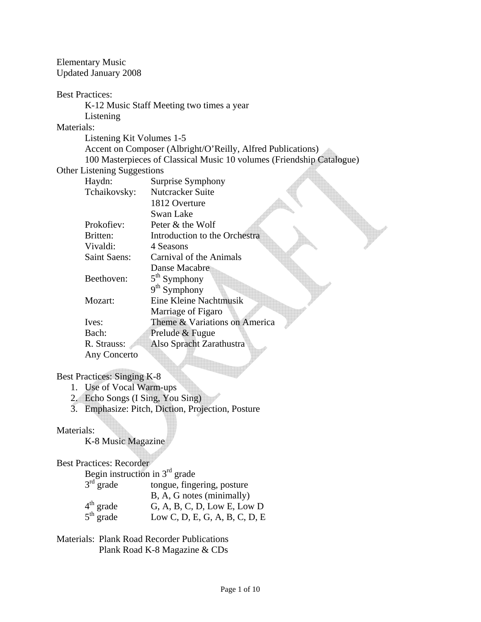Elementary Music Updated January 2008

#### Best Practices:

K-12 Music Staff Meeting two times a year

Listening

# Materials:

Listening Kit Volumes 1-5

 Accent on Composer (Albright/O'Reilly, Alfred Publications) 100 Masterpieces of Classical Music 10 volumes (Friendship Catalogue)

 $\overline{\mathbb{R}}$ 

#### Other Listening Suggestions

| Haydn:              | Surprise Symphony             |
|---------------------|-------------------------------|
| Tchaikovsky:        | Nutcracker Suite              |
|                     | 1812 Overture                 |
|                     | Swan Lake                     |
| Prokofiev:          | Peter & the Wolf              |
| Britten:            | Introduction to the Orchestra |
| Vivaldi:            | 4 Seasons                     |
| <b>Saint Saens:</b> | Carnival of the Animals       |
|                     | Danse Macabre                 |
| Beethoven:          | $5th$ Symphony                |
|                     | $9th$ Symphony                |
| Mozart:             | Eine Kleine Nachtmusik        |
|                     | Marriage of Figaro            |
| Ives:               | Theme & Variations on America |
| Bach:               | Prelude & Fugue               |
| R. Strauss:         | Also Spracht Zarathustra      |
| Any Concerto        |                               |

Best Practices: Singing K-8

- 1. Use of Vocal Warm-ups
- 2. Echo Songs (I Sing, You Sing)
- 3. Emphasize: Pitch, Diction, Projection, Posture

## Materials:

K-8 Music Magazine

Best Practices: Recorder

|             | Begin instruction in $3rd$ grade |
|-------------|----------------------------------|
| $3rd$ grade | tongue, fingering, posture       |
|             | B, A, G notes (minimally)        |
| $4th$ grade | G, A, B, C, D, Low E, Low D      |
| $5th$ grade | Low C, D, E, G, A, B, C, D, E    |

Materials: Plank Road Recorder Publications Plank Road K-8 Magazine & CDs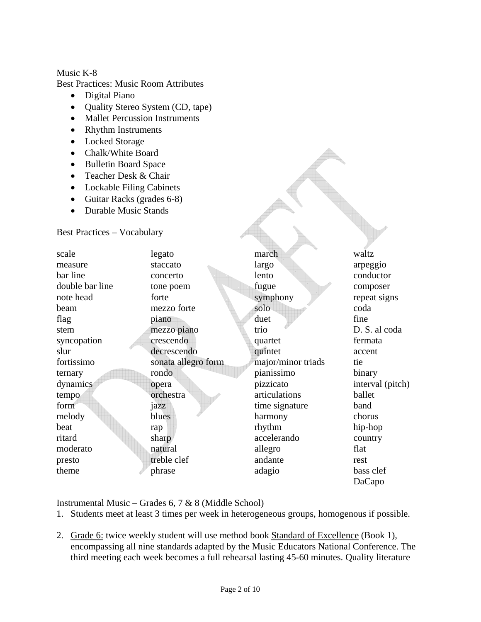### Music K-8

Best Practices: Music Room Attributes

- Digital Piano
- Quality Stereo System (CD, tape)
- Mallet Percussion Instruments
- Rhythm Instruments
- Locked Storage
- Chalk/White Board
- Bulletin Board Space
- Teacher Desk & Chair
- Lockable Filing Cabinets
- Guitar Racks (grades 6-8)
- Durable Music Stands

Best Practices – Vocabulary

| scale           | legato              | march              | waltz            |
|-----------------|---------------------|--------------------|------------------|
| measure         | staccato            | largo              | arpeggio         |
| bar line        | concerto            | lento              | conductor        |
| double bar line | tone poem           | fugue              | composer         |
| note head       | forte               | symphony           | repeat signs     |
| beam            | mezzo forte         | solo               | coda             |
| flag            | piano               | duet               | fine             |
| stem            | mezzo piano         | trio               | D. S. al coda    |
| syncopation     | crescendo           | quartet            | fermata          |
| slur            | decrescendo         | quintet            | accent           |
| fortissimo      | sonata allegro form | major/minor triads | tie              |
| ternary         | rondo               | pianissimo         | binary           |
| dynamics        | opera               | pizzicato          | interval (pitch) |
| tempo           | orchestra           | articulations      | ballet           |
| form            | jazz                | time signature     | band             |
| melody          | blues               | harmony            | chorus           |
| beat            | rap                 | rhythm             | hip-hop          |
| ritard          | sharp               | accelerando        | country          |
| moderato        | natural             | allegro            | flat             |
| presto          | treble clef         | andante            | rest             |
| theme           | phrase              | adagio             | bass clef        |
|                 |                     |                    | DaCapo           |

Instrumental Music – Grades 6, 7 & 8 (Middle School)

- 1. Students meet at least 3 times per week in heterogeneous groups, homogenous if possible.
- 2. Grade 6: twice weekly student will use method book Standard of Excellence (Book 1), encompassing all nine standards adapted by the Music Educators National Conference. The third meeting each week becomes a full rehearsal lasting 45-60 minutes. Quality literature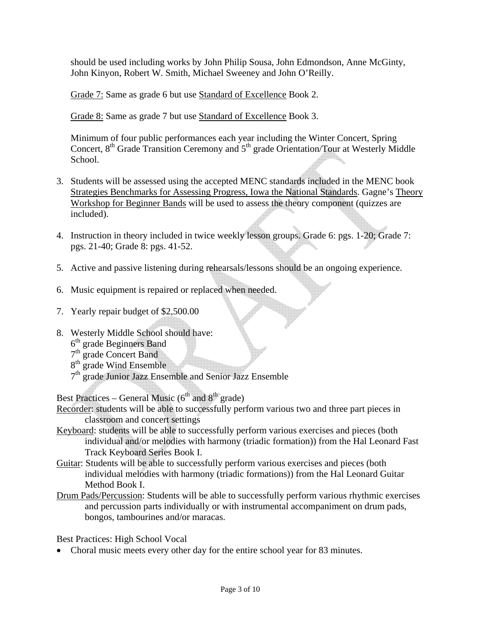should be used including works by John Philip Sousa, John Edmondson, Anne McGinty, John Kinyon, Robert W. Smith, Michael Sweeney and John O'Reilly.

Grade 7: Same as grade 6 but use Standard of Excellence Book 2.

Grade 8: Same as grade 7 but use Standard of Excellence Book 3.

Minimum of four public performances each year including the Winter Concert, Spring Concert,  $8<sup>th</sup>$  Grade Transition Ceremony and  $5<sup>th</sup>$  grade Orientation/Tour at Westerly Middle School.

- 3. Students will be assessed using the accepted MENC standards included in the MENC book Strategies Benchmarks for Assessing Progress, Iowa the National Standards. Gagne's Theory Workshop for Beginner Bands will be used to assess the theory component (quizzes are included).
- 4. Instruction in theory included in twice weekly lesson groups. Grade 6: pgs. 1-20; Grade 7: pgs. 21-40; Grade 8: pgs. 41-52.
- 5. Active and passive listening during rehearsals/lessons should be an ongoing experience.
- 6. Music equipment is repaired or replaced when needed.
- 7. Yearly repair budget of \$2,500.00
- 8. Westerly Middle School should have: 6<sup>th</sup> grade Beginners Band
	- 7<sup>th</sup> grade Concert Band
	- $8<sup>th</sup>$  grade Wind Ensemble
	- 7<sup>th</sup> grade Junior Jazz Ensemble and Senior Jazz Ensemble

Best Practices – General Music  $(6<sup>th</sup>$  and  $8<sup>th</sup>$  grade)

Recorder: students will be able to successfully perform various two and three part pieces in classroom and concert settings

- Keyboard: students will be able to successfully perform various exercises and pieces (both individual and/or melodies with harmony (triadic formation)) from the Hal Leonard Fast Track Keyboard Series Book I.
- Guitar: Students will be able to successfully perform various exercises and pieces (both individual melodies with harmony (triadic formations)) from the Hal Leonard Guitar Method Book I.
- Drum Pads/Percussion: Students will be able to successfully perform various rhythmic exercises and percussion parts individually or with instrumental accompaniment on drum pads, bongos, tambourines and/or maracas.

Best Practices: High School Vocal

• Choral music meets every other day for the entire school year for 83 minutes.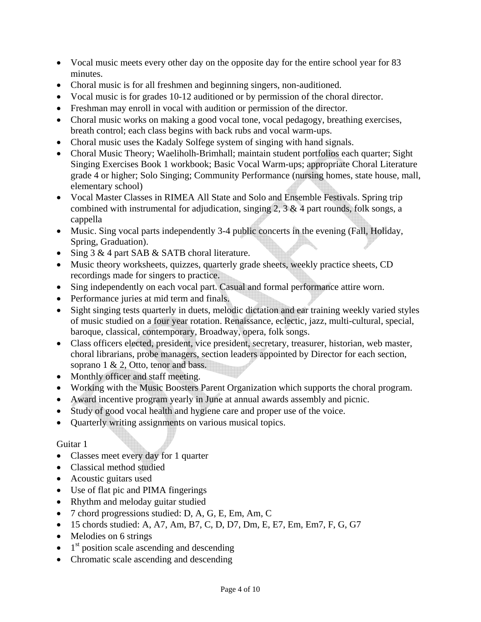- Vocal music meets every other day on the opposite day for the entire school year for 83 minutes.
- Choral music is for all freshmen and beginning singers, non-auditioned.
- Vocal music is for grades 10-12 auditioned or by permission of the choral director.
- Freshman may enroll in vocal with audition or permission of the director.
- Choral music works on making a good vocal tone, vocal pedagogy, breathing exercises, breath control; each class begins with back rubs and vocal warm-ups.
- Choral music uses the Kadaly Solfege system of singing with hand signals.
- Choral Music Theory; Waeliholh-Brimhall; maintain student portfolios each quarter; Sight Singing Exercises Book 1 workbook; Basic Vocal Warm-ups; appropriate Choral Literature grade 4 or higher; Solo Singing; Community Performance (nursing homes, state house, mall, elementary school)
- Vocal Master Classes in RIMEA All State and Solo and Ensemble Festivals. Spring trip combined with instrumental for adjudication, singing  $2$ ,  $3 \& 4$  part rounds, folk songs, a cappella
- Music. Sing vocal parts independently 3-4 public concerts in the evening (Fall, Holiday, Spring, Graduation).
- Sing 3 & 4 part SAB & SATB choral literature.
- Music theory worksheets, quizzes, quarterly grade sheets, weekly practice sheets, CD recordings made for singers to practice.
- Sing independently on each vocal part. Casual and formal performance attire worn.
- Performance juries at mid term and finals.
- Sight singing tests quarterly in duets, melodic dictation and ear training weekly varied styles of music studied on a four year rotation. Renaissance, eclectic, jazz, multi-cultural, special, baroque, classical, contemporary, Broadway, opera, folk songs.
- Class officers elected, president, vice president, secretary, treasurer, historian, web master, choral librarians, probe managers, section leaders appointed by Director for each section, soprano 1 & 2, Otto, tenor and bass.
- Monthly officer and staff meeting.
- Working with the Music Boosters Parent Organization which supports the choral program.
- Award incentive program yearly in June at annual awards assembly and picnic.
- Study of good vocal health and hygiene care and proper use of the voice.
- Quarterly writing assignments on various musical topics.

## Guitar 1

- Classes meet every day for 1 quarter
- Classical method studied
- Acoustic guitars used
- Use of flat pic and PIMA fingerings
- Rhythm and meloday guitar studied
- 7 chord progressions studied: D, A, G, E, Em, Am, C
- 15 chords studied: A, A7, Am, B7, C, D, D7, Dm, E, E7, Em, Em7, F, G, G7
- Melodies on 6 strings
- $\bullet$  1<sup>st</sup> position scale ascending and descending
- Chromatic scale ascending and descending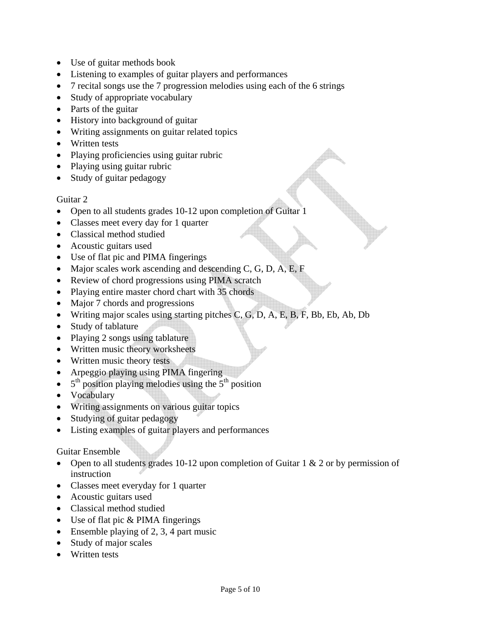- Use of guitar methods book
- Listening to examples of guitar players and performances
- 7 recital songs use the 7 progression melodies using each of the 6 strings
- Study of appropriate vocabulary
- Parts of the guitar
- History into background of guitar
- Writing assignments on guitar related topics
- Written tests
- Playing proficiencies using guitar rubric
- Playing using guitar rubric
- Study of guitar pedagogy

## Guitar 2

- Open to all students grades 10-12 upon completion of Guitar 1
- Classes meet every day for 1 quarter
- Classical method studied
- Acoustic guitars used
- Use of flat pic and PIMA fingerings
- Major scales work ascending and descending C, G, D, A, E, F
- Review of chord progressions using PIMA scratch
- Playing entire master chord chart with 35 chords
- Major 7 chords and progressions
- Writing major scales using starting pitches C, G, D, A, E, B, F, Bb, Eb, Ab, Db
- Study of tablature
- Playing 2 songs using tablature
- Written music theory worksheets
- Written music theory tests
- Arpeggio playing using PIMA fingering
- $\bullet$  5<sup>th</sup> position playing melodies using the 5<sup>th</sup> position
- Vocabulary
- Writing assignments on various guitar topics
- Studying of guitar pedagogy
- Listing examples of guitar players and performances

## Guitar Ensemble

- Open to all students grades 10-12 upon completion of Guitar 1 & 2 or by permission of instruction
- Classes meet everyday for 1 quarter
- Acoustic guitars used
- Classical method studied
- Use of flat pic & PIMA fingerings
- Ensemble playing of 2, 3, 4 part music
- Study of major scales
- Written tests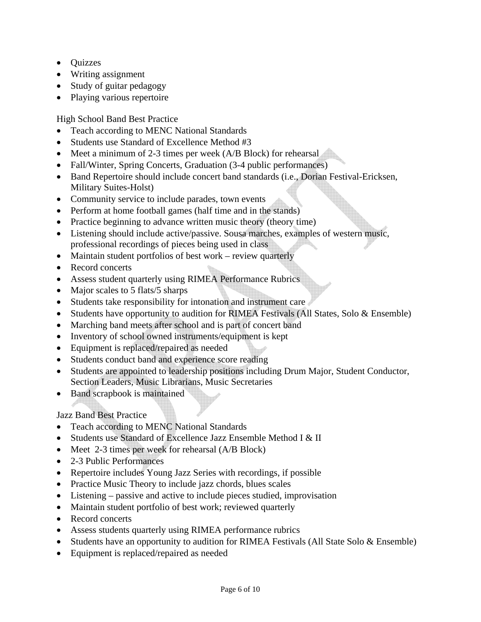- Quizzes
- Writing assignment
- Study of guitar pedagogy
- Playing various repertoire

High School Band Best Practice

- Teach according to MENC National Standards
- Students use Standard of Excellence Method #3
- Meet a minimum of 2-3 times per week (A/B Block) for rehearsal
- Fall/Winter, Spring Concerts, Graduation (3-4 public performances)
- Band Repertoire should include concert band standards (i.e., Dorian Festival-Ericksen, Military Suites-Holst)
- Community service to include parades, town events
- Perform at home football games (half time and in the stands)
- Practice beginning to advance written music theory (theory time)
- Listening should include active/passive. Sousa marches, examples of western music, professional recordings of pieces being used in class
- Maintain student portfolios of best work review quarterly
- Record concerts
- Assess student quarterly using RIMEA Performance Rubrics
- Major scales to 5 flats/5 sharps
- Students take responsibility for intonation and instrument care
- Students have opportunity to audition for RIMEA Festivals (All States, Solo & Ensemble)
- Marching band meets after school and is part of concert band
- Inventory of school owned instruments/equipment is kept
- Equipment is replaced/repaired as needed
- Students conduct band and experience score reading
- Students are appointed to leadership positions including Drum Major, Student Conductor, Section Leaders, Music Librarians, Music Secretaries
- Band scrapbook is maintained

## Jazz Band Best Practice

- Teach according to MENC National Standards
- Students use Standard of Excellence Jazz Ensemble Method I & II
- Meet 2-3 times per week for rehearsal (A/B Block)
- 2-3 Public Performances
- Repertoire includes Young Jazz Series with recordings, if possible
- Practice Music Theory to include jazz chords, blues scales
- Listening passive and active to include pieces studied, improvisation
- Maintain student portfolio of best work; reviewed quarterly
- Record concerts
- Assess students quarterly using RIMEA performance rubrics
- Students have an opportunity to audition for RIMEA Festivals (All State Solo & Ensemble)
- Equipment is replaced/repaired as needed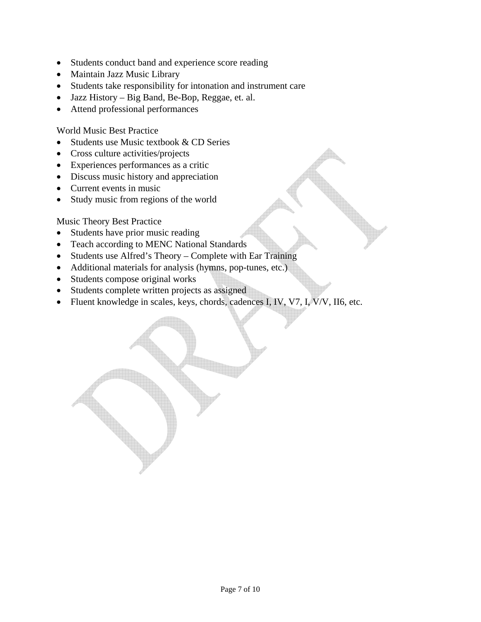- Students conduct band and experience score reading
- Maintain Jazz Music Library
- Students take responsibility for intonation and instrument care
- Jazz History Big Band, Be-Bop, Reggae, et. al.
- Attend professional performances

World Music Best Practice

- Students use Music textbook & CD Series
- Cross culture activities/projects
- Experiences performances as a critic
- Discuss music history and appreciation
- Current events in music
- Study music from regions of the world

Music Theory Best Practice

- Students have prior music reading
- Teach according to MENC National Standards
- Students use Alfred's Theory Complete with Ear Training
- Additional materials for analysis (hymns, pop-tunes, etc.)
- Students compose original works
- Students complete written projects as assigned
- Fluent knowledge in scales, keys, chords, cadences I, IV, V7, I, V/V, II6, etc.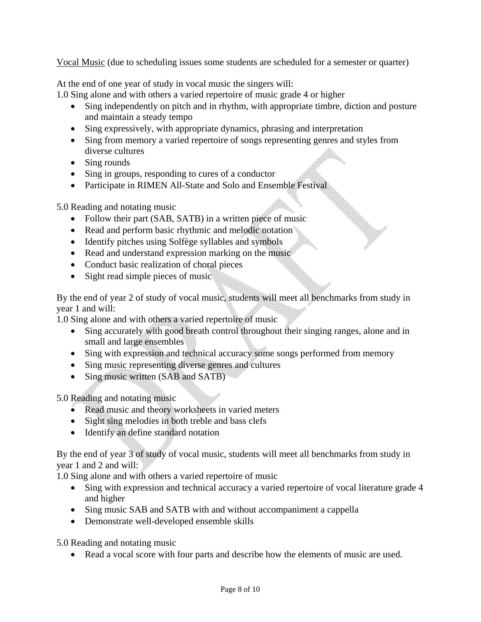Vocal Music (due to scheduling issues some students are scheduled for a semester or quarter)

At the end of one year of study in vocal music the singers will:

1.0 Sing alone and with others a varied repertoire of music grade 4 or higher

- Sing independently on pitch and in rhythm, with appropriate timbre, diction and posture and maintain a steady tempo
- Sing expressively, with appropriate dynamics, phrasing and interpretation
- Sing from memory a varied repertoire of songs representing genres and styles from diverse cultures
- Sing rounds
- Sing in groups, responding to cures of a conductor
- Participate in RIMEN All-State and Solo and Ensemble Festival

5.0 Reading and notating music

- Follow their part (SAB, SATB) in a written piece of music
- Read and perform basic rhythmic and melodic notation
- Identify pitches using Solfège syllables and symbols
- Read and understand expression marking on the music
- Conduct basic realization of choral pieces
- Sight read simple pieces of music

By the end of year 2 of study of vocal music, students will meet all benchmarks from study in year 1 and will:

1.0 Sing alone and with others a varied repertoire of music

- Sing accurately with good breath control throughout their singing ranges, alone and in small and large ensembles
- Sing with expression and technical accuracy some songs performed from memory
- Sing music representing diverse genres and cultures
- Sing music written (SAB and SATB)

5.0 Reading and notating music

- Read music and theory worksheets in varied meters
- Sight sing melodies in both treble and bass clefs
- Identify an define standard notation

By the end of year 3 of study of vocal music, students will meet all benchmarks from study in year 1 and 2 and will:

1.0 Sing alone and with others a varied repertoire of music

- Sing with expression and technical accuracy a varied repertoire of vocal literature grade 4 and higher
- Sing music SAB and SATB with and without accompaniment a cappella
- Demonstrate well-developed ensemble skills

5.0 Reading and notating music

• Read a vocal score with four parts and describe how the elements of music are used.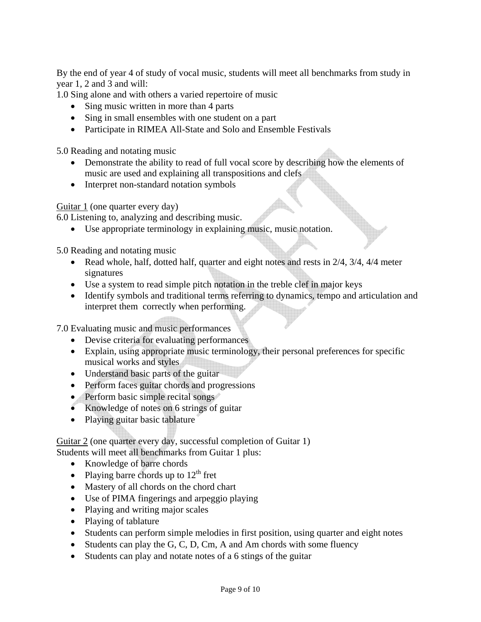By the end of year 4 of study of vocal music, students will meet all benchmarks from study in year 1, 2 and 3 and will:

1.0 Sing alone and with others a varied repertoire of music

- Sing music written in more than 4 parts
- Sing in small ensembles with one student on a part
- Participate in RIMEA All-State and Solo and Ensemble Festivals

5.0 Reading and notating music

- Demonstrate the ability to read of full vocal score by describing how the elements of music are used and explaining all transpositions and clefs
- Interpret non-standard notation symbols

Guitar 1 (one quarter every day)

6.0 Listening to, analyzing and describing music.

• Use appropriate terminology in explaining music, music notation.

5.0 Reading and notating music

- Read whole, half, dotted half, quarter and eight notes and rests in 2/4, 3/4, 4/4 meter signatures
- Use a system to read simple pitch notation in the treble clef in major keys
- Identify symbols and traditional terms referring to dynamics, tempo and articulation and interpret them correctly when performing.

7.0 Evaluating music and music performances

- Devise criteria for evaluating performances
- Explain, using appropriate music terminology, their personal preferences for specific musical works and styles
- Understand basic parts of the guitar
- Perform faces guitar chords and progressions
- Perform basic simple recital songs
- Knowledge of notes on 6 strings of guitar
- Playing guitar basic tablature

Guitar 2 (one quarter every day, successful completion of Guitar 1) Students will meet all benchmarks from Guitar 1 plus:

- Knowledge of barre chords
- Playing barre chords up to  $12<sup>th</sup>$  fret
- Mastery of all chords on the chord chart
- Use of PIMA fingerings and arpeggio playing
- Playing and writing major scales
- Playing of tablature
- Students can perform simple melodies in first position, using quarter and eight notes
- Students can play the G, C, D, Cm, A and Am chords with some fluency
- Students can play and notate notes of a 6 stings of the guitar